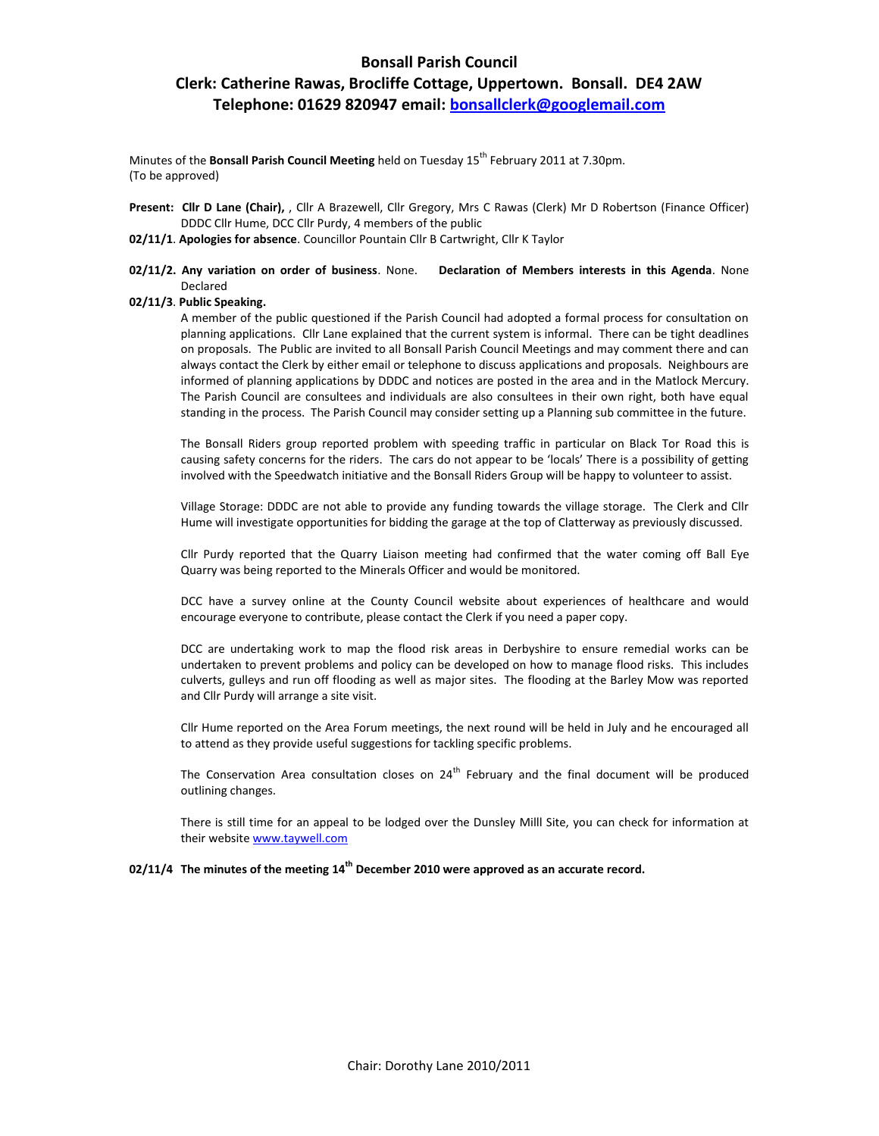## **Bonsall Parish Council**

# **Clerk: Catherine Rawas, Brocliffe Cottage, Uppertown. Bonsall. DE4 2AW Telephone: 01629 820947 email: bonsallclerk@googlemail.com**

Minutes of the **Bonsall Parish Council Meeting** held on Tuesday 15<sup>th</sup> February 2011 at 7.30pm. (To be approved)

- **Present: Cllr D Lane (Chair),** , Cllr A Brazewell, Cllr Gregory, Mrs C Rawas (Clerk) Mr D Robertson (Finance Officer) DDDC Cllr Hume, DCC Cllr Purdy, 4 members of the public
- **02/11/1**. **Apologies for absence**. Councillor Pountain Cllr B Cartwright, Cllr K Taylor
- **02/11/2. Any variation on order of business**. None. **Declaration of Members interests in this Agenda**. None Declared

### **02/11/3**. **Public Speaking.**

A member of the public questioned if the Parish Council had adopted a formal process for consultation on planning applications. Cllr Lane explained that the current system is informal. There can be tight deadlines on proposals. The Public are invited to all Bonsall Parish Council Meetings and may comment there and can always contact the Clerk by either email or telephone to discuss applications and proposals. Neighbours are informed of planning applications by DDDC and notices are posted in the area and in the Matlock Mercury. The Parish Council are consultees and individuals are also consultees in their own right, both have equal standing in the process. The Parish Council may consider setting up a Planning sub committee in the future.

The Bonsall Riders group reported problem with speeding traffic in particular on Black Tor Road this is causing safety concerns for the riders. The cars do not appear to be 'locals' There is a possibility of getting involved with the Speedwatch initiative and the Bonsall Riders Group will be happy to volunteer to assist.

Village Storage: DDDC are not able to provide any funding towards the village storage. The Clerk and Cllr Hume will investigate opportunities for bidding the garage at the top of Clatterway as previously discussed.

Cllr Purdy reported that the Quarry Liaison meeting had confirmed that the water coming off Ball Eye Quarry was being reported to the Minerals Officer and would be monitored.

DCC have a survey online at the County Council website about experiences of healthcare and would encourage everyone to contribute, please contact the Clerk if you need a paper copy.

DCC are undertaking work to map the flood risk areas in Derbyshire to ensure remedial works can be undertaken to prevent problems and policy can be developed on how to manage flood risks. This includes culverts, gulleys and run off flooding as well as major sites. The flooding at the Barley Mow was reported and Cllr Purdy will arrange a site visit.

Cllr Hume reported on the Area Forum meetings, the next round will be held in July and he encouraged all to attend as they provide useful suggestions for tackling specific problems.

The Conservation Area consultation closes on  $24<sup>th</sup>$  February and the final document will be produced outlining changes.

There is still time for an appeal to be lodged over the Dunsley Milll Site, you can check for information at their websit[e www.taywell.com](http://www.taywell.com/)

### **02/11/4 The minutes of the meeting 14th December 2010 were approved as an accurate record.**